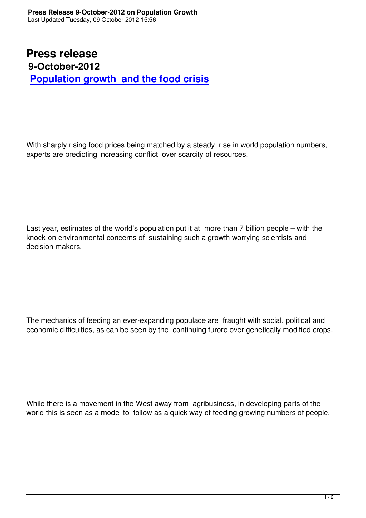## **Press release 9-October-2012 Population growth and the food crisis**

With sharply rising food prices being matched by a steady rise in world population numbers, experts are predicting increasing conflict over scarcity of resources.

Last year, estimates of the world's population put it at more than 7 billion people – with the knock-on environmental concerns of sustaining such a growth worrying scientists and decision-makers.

The mechanics of feeding an ever-expanding populace are fraught with social, political and economic difficulties, as can be seen by the continuing furore over genetically modified crops.

While there is a movement in the West away from agribusiness, in developing parts of the world this is seen as a model to follow as a quick way of feeding growing numbers of people.